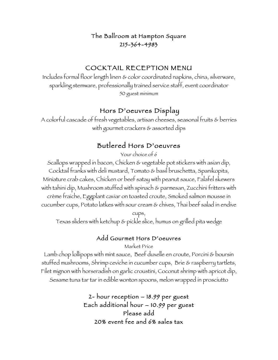#### The Ballroom at Hampton Square 215-364-4983

### COCKTAIL RECEPTION MENU

Includes formal floor length linen & color coordinated napkins, china, silverware, sparkling stemware, professionally trained service staff, event coordinator 50 guest minimum

## Hors D'oeuvres Display

A colorful cascade of fresh vegetables, artisan cheeses, seasonal fruits & berries with gourmet crackers & assorted dips

### Butlered Hors D'oeuvres

Your choice of 6

Scallops wrapped in bacon, Chicken & vegetable pot stickers with asian dip, Cocktail franks with deli mustard, Tomato & basil bruschetta, Spanikopita, Miniature crab cakes, Chicken or beef satay with peanut sauce, Falafel skewers with tahini dip, Mushroom stuffed with spinach & parmesan, Zucchini fritters with crème fraiche, Eggplant caviar on toasted croute, Smoked salmon mousse in cucumber cups, Potato latkes with sour cream & chives, Thai beef salad in endive

cups, Texas sliders with ketchup & pickle slice, humus on grilled pita wedge

### Add Gourmet Hors D'oeuvres

Market Price

Lamb chop lollipops with mint sauce, Beef duxelle en croute, Porcini & boursin stuffed mushrooms, Shrimp ceviche in cucumber cups, Brie & raspberry tartlets, Filet mignon with horseradish on garlic croustini, Coconut shrimp with apricot dip, Sesame tuna tar tar in edible wonton spoons, melon wrapped in prosciutto

> 2- hour reception – 18.99 per guest Each additional hour – 10.99 per guest Please add 20% event fee and 6% sales tax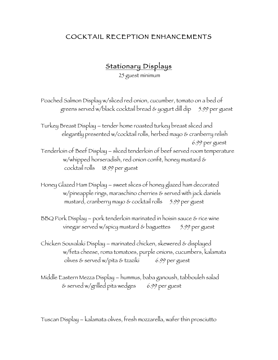### COCKTAIL RECEPTION ENHANCEMENTS

Stationary Displays

25 guest minimum

Poached Salmon Display w/sliced red onion, cucumber, tomato on a bed of greens served w/black cocktail bread & yogurt dill dip 5.99 per guest

Turkey Breast Display – tender home roasted turkey breast sliced and elegantly presented w/cocktail rolls, herbed mayo & cranberry relish 6.99 per guest Tenderloin of Beef Display – sliced tenderloin of beef served room temperature w/whipped horseradish, red onion confit, honey mustard & cocktail rolls 18.99 per guest

Honey Glazed Ham Display – sweet slices of honey glazed ham decorated w/pineapple rings, maraschino cherries & served with jack daniels mustard, cranberry mayo & cocktail rolls  $5.99$  per guest

BBQ Pork Display – pork tenderloin marinated in hoisin sauce & rice wine vinegar served w/spicy mustard  $&$  baguettes  $5.99$  per guest

Chicken Souvalaki Display – marinated chicken, skewered & displayed w/feta cheese, roma tomatoes, purple onions, cucumbers, kalamata olives & served w/pita & tzaziki 6.99 per guest

Middle Eastern Mezza Display – hummus, baba ganoush, tabbouleh salad  $&$  served w/grilled pita wedges  $6.99$  per guest

Tuscan Display – kalamata olives, fresh mozzarella, wafer thin prosciutto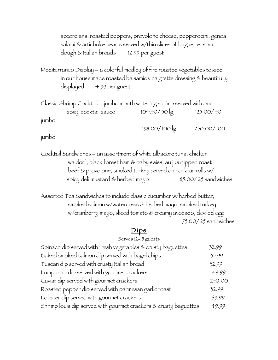accordians, roasted peppers, provolone cheese, pepperocini, genoa salami & artichoke hearts served w/thin slices of baguette, sour dough & Italian breads 12.99 per guest

Mediterraneo Display – a colorful medley of fire roasted vegetables tossed in our house made roasted balsamic vinaigrette dressing  $\varepsilon$  beautifully displayed 4.99 per guest

Classic Shrimp Cocktail – jumbo mouth watering shrimp served with our spicy cocktail sauce 104.50/ 50 lg 125.00/ 50 jumbo 198.00/ 100 lg 250.00/ 100

jumbo

Cocktail Sandwiches – an assortment of white albacore tuna, chicken waldorf, black forest ham & baby swiss, au jus dipped roast beef & provolone, smoked turkey served on cocktail rolls w/ spicy deli mustard & herbed mayo 85.00/ 25 sandwiches

Assorted Tea Sandwiches to include classic cucumber w/herbed butter, smoked salmon w/watercress & herbed mayo, smoked turkey w/cranberry mayo, sliced tomato & creamy avocado, deviled egg 75.00/ 25 sandwiches

#### Dips

| Serves 12-15 guests                                              |        |
|------------------------------------------------------------------|--------|
| Spinach dip served with fresh vegetables & crusty baguettes      | 32.99  |
| Baked smoked salmon dip served with bagel chips                  | 35.99  |
| Tuscan dip served with crusty Italian bread                      | 32.99  |
| Lump crab dip served with gourmet crackers                       | 49.99  |
| Caviar dip served with gourmet crackers                          | 250.00 |
| Roasted pepper dip served with parmesan garlic toast             | 32.99  |
| Lobster dip served with gourmet crackers                         | 69.99  |
| Shrimp louis dip served with gourmet crackers & crusty baguettes | 49.99  |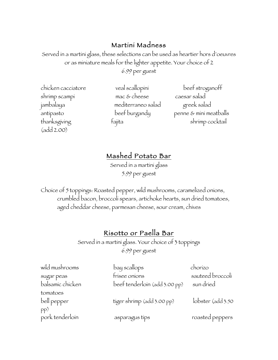### Martini Madness

Served in a martini glass, these selections can be used as heartier hors d'oeuvres or as miniature meals for the lighter appetite. Your choice of 2 6.99 per guest

| chicken cacciatore |
|--------------------|
| shrimp scampi      |
| jambalaya          |
| antipasto          |
| thanksgiving       |
| (add 2.00)         |

 $\mathsf{mac}\, \&\, \mathsf{cheese}$  caesar salad mediterraneo salad greek salad

veal scallopini beef stroganoff beef burgandy penne & mini meatballs tajita shrimp cocktail

# Mashed Potato Bar

Served in a martini glass 5.99 per guest

Choice of 5 toppings: Roasted pepper, wild mushrooms, caramelized onions, crumbled bacon, broccoli spears, artichoke hearts, sun dried tomatoes, aged cheddar cheese, parmesan cheese, sour cream, chives

## Risotto or Paella Bar

Served in a martini glass. Your choice of 3 toppings 6.99 per guest

| wild mushrooms   | bay scallops                  | chorízo           |
|------------------|-------------------------------|-------------------|
| sugar peas       | frísee oníons                 | sauteed broccoli  |
| balsamic chicken | beef tenderloin (add 3.00 pp) | sun dríed         |
| tomatoes         |                               |                   |
| bell pepper      | tiger shrimp (add 3.00 pp)    | lobster (add 3.50 |
| pp)              |                               |                   |
| pork tenderloin  | asparagus tips                | roasted peppers   |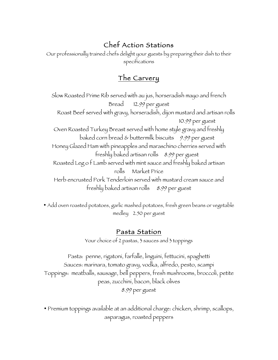# Chef Action Stations

Our professionally trained chefs delight your guests by preparing their dish to their specifications

# The Carvery

Slow Roasted Prime Rib served with au jus, horseradish mayo and french Bread 12.99 per guest Roast Beef served with gravy, horseradish, dijon mustard and artisan rolls 10.99 per guest Oven Roasted Turkey Breast served with home style gravy and freshly baked corn bread & buttermilk biscuits 9.99 per guest Honey Glazed Ham with pineapples and maraschino cherries served with freshly baked artisan rolls 8.99 per guest Roasted Leg o f Lamb served with mint sauce and freshly baked artisan rolls Market Price Herb encrusted Pork Tenderloin served with mustard cream sauce and freshly baked artisan rolls 8.99 per guest

• Add oven roasted potatoes, garlic mashed potatoes, fresh green beans or vegetable medley 2.50 per guest

### Pasta Station

Your choice of 2 pastas, 3 sauces and 3 toppings

Pasta: penne, rigatoni, farfalle, linguini, fettucini, spaghetti Sauces: marinara, tomato gravy, vodka, alfredo, pesto, scampi Toppings: meatballs, sausage, bell peppers, fresh mushrooms, broccoli, petite peas, zucchini, bacon, black olives 8.99 per guest

• Premium toppings available at an additional charge: chicken, shrimp, scallops, asparagus, roasted peppers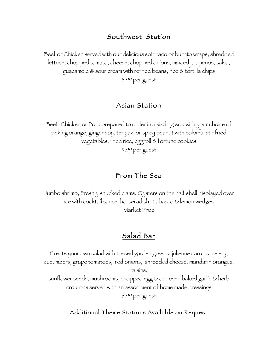### Southwest Station

Beef or Chicken served with our delicious soft taco or burrito wraps, shredded lettuce, chopped tomato, cheese, chopped onions, minced jalapenos, salsa, guacamole  $\&$  sour cream with refried beans, rice  $\&$  tortilla chips 8.99 per guest

### Asian Station

Beef, Chicken or Pork prepared to order in a sizzling wok with your choice of peking orange, ginger soy, teriyaki or spicy peanut with colorful stir fried vegetables, fried rice, eggroll & fortune cookies 9.99 per guest

## From The Sea

Jumbo shrimp, Freshly shucked clams, Oysters on the half shell displayed over ice with cocktail sauce, horseradish, Tabasco & lemon wedges Market Price

# Salad Bar

Create your own salad with tossed garden greens, julienne carrots, celery, cucumbers, grape tomatoes, red onions, shredded cheese, mandarin oranges, raisins, sunflower seeds, mushrooms, chopped egg & our oven baked garlic & herb croutons served with an assortment of home made dressings 6.99 per guest

### Additional Theme Stations Available on Request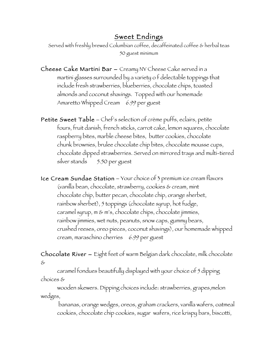### Sweet Endings

Served with freshly brewed Columbian coffee, decaffeinated coffee & herbal teas 50 guest minimum

Cheese Cake Martini Bar – Creamy NY Cheese Cake served in a martini glasses surrounded by a variety o f delectable toppings that include fresh strawberries, blueberries, chocolate chips, toasted almonds and coconut shavings. Topped with our homemade Amaretto Whipped Cream 6.99 per guest

Petite Sweet Table – Chef's selection of crème puffs, eclairs, petite fours, fruit danish, french sticks, carrot cake, lemon squares, chocolate raspberry bites, marble cheese bites, butter cookies, chocolate chunk brownies, brulee chocolate chip bites, chocolate mousse cups, chocolate dipped strawberries. Served on mirrored trays and multi-tiered silver stands 5.50 per guest

Ice Cream Sundae Station – Your choice of 3 premium ice cream flavors (vanilla bean, chocolate, strawberry, cookies & cream, mint chocolate chip, butter pecan, chocolate chip, orange sherbet, rainbow sherbet), 5 toppings (chocolate syrup, hot fudge, caramel syrup, m & m's, chocolate chips, chocolate jimmies, rainbow jimmies, wet nuts, peanuts, snow caps, gummy bears, crushed reeses, oreo pieces, coconut shavings), our homemade whipped cream, maraschino cherries 6.99 per guest

Chocolate River – Eight feet of warm Belgian dark chocolate, milk chocolate &

caramel fondues beautifully displayed with your choice of 5 dipping choices &

wooden skewers. Dipping choices include: strawberries, grapes,melon wedges,

bananas, orange wedges, oreos, graham crackers, vanilla wafers, oatmeal cookies, chocolate chip cookies, sugar wafers, rice krispy bars, biscotti,